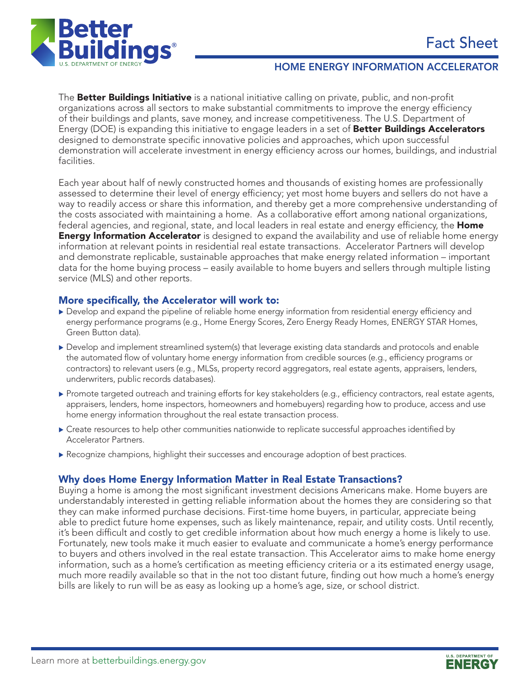

#### Home ENERGY INFORMATION Accelerator

The **Better Buildings Initiative** is a national initiative calling on private, public, and non-profit organizations across all sectors to make substantial commitments to improve the energy efficiency of their buildings and plants, save money, and increase competitiveness. The U.S. Department of Energy (DOE) is expanding this initiative to engage leaders in a set of **Better Buildings Accelerators** designed to demonstrate specific innovative policies and approaches, which upon successful demonstration will accelerate investment in energy efficiency across our homes, buildings, and industrial facilities.

Each year about half of newly constructed homes and thousands of existing homes are professionally assessed to determine their level of energy efficiency; yet most home buyers and sellers do not have a way to readily access or share this information, and thereby get a more comprehensive understanding of the costs associated with maintaining a home. As a collaborative effort among national organizations, federal agencies, and regional, state, and local leaders in real estate and energy efficiency, the **Home Energy Information Accelerator** is designed to expand the availability and use of reliable home energy information at relevant points in residential real estate transactions. Accelerator Partners will develop and demonstrate replicable, sustainable approaches that make energy related information – important data for the home buying process – easily available to home buyers and sellers through multiple listing service (MLS) and other reports.

### More specifically, the Accelerator will work to:

- $\triangleright$  Develop and expand the pipeline of reliable home energy information from residential energy efficiency and energy performance programs (e.g., Home Energy Scores, Zero Energy Ready Homes, ENERGY STAR Homes, Green Button data).
- $\triangleright$  Develop and implement streamlined system(s) that leverage existing data standards and protocols and enable the automated flow of voluntary home energy information from credible sources (e.g., efficiency programs or contractors) to relevant users (e.g., MLSs, property record aggregators, real estate agents, appraisers, lenders, underwriters, public records databases).
- Promote targeted outreach and training efforts for key stakeholders (e.g., efficiency contractors, real estate agents, appraisers, lenders, home inspectors, homeowners and homebuyers) regarding how to produce, access and use home energy information throughout the real estate transaction process.
- $\blacktriangleright$  Create resources to help other communities nationwide to replicate successful approaches identified by Accelerator Partners.
- $\blacktriangleright$  Recognize champions, highlight their successes and encourage adoption of best practices.

## Why does Home Energy Information Matter in Real Estate Transactions?

Buying a home is among the most significant investment decisions Americans make. Home buyers are understandably interested in getting reliable information about the homes they are considering so that they can make informed purchase decisions. First-time home buyers, in particular, appreciate being able to predict future home expenses, such as likely maintenance, repair, and utility costs. Until recently, it's been difficult and costly to get credible information about how much energy a home is likely to use. Fortunately, new tools make it much easier to evaluate and communicate a home's energy performance to buyers and others involved in the real estate transaction. This Accelerator aims to make home energy information, such as a home's certification as meeting efficiency criteria or a its estimated energy usage, much more readily available so that in the not too distant future, finding out how much a home's energy bills are likely to run will be as easy as looking up a home's age, size, or school district.